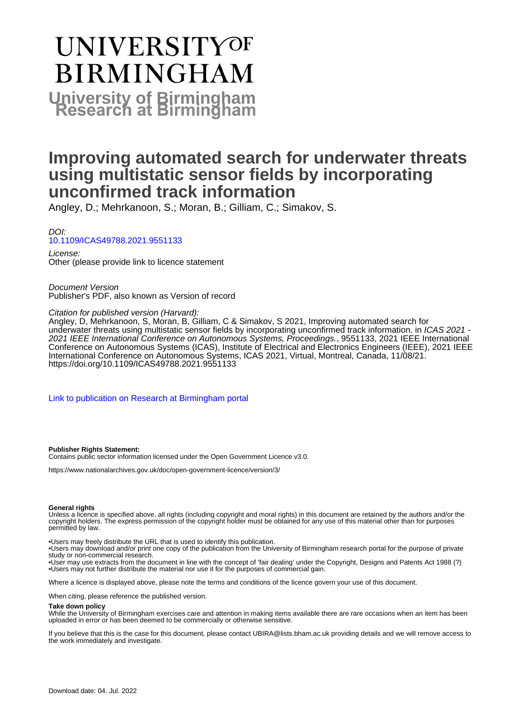# **UNIVERSITYOF BIRMINGHAM University of Birmingham**

## **Improving automated search for underwater threats using multistatic sensor fields by incorporating unconfirmed track information**

Angley, D.; Mehrkanoon, S.; Moran, B.; Gilliam, C.; Simakov, S.

DOI: [10.1109/ICAS49788.2021.9551133](https://doi.org/10.1109/ICAS49788.2021.9551133)

License: Other (please provide link to licence statement

Document Version Publisher's PDF, also known as Version of record

Citation for published version (Harvard):

Angley, D, Mehrkanoon, S, Moran, B, Gilliam, C & Simakov, S 2021, Improving automated search for underwater threats using multistatic sensor fields by incorporating unconfirmed track information. in ICAS 2021 - 2021 IEEE International Conference on Autonomous Systems, Proceedings., 9551133, 2021 IEEE International Conference on Autonomous Systems (ICAS), Institute of Electrical and Electronics Engineers (IEEE), 2021 IEEE International Conference on Autonomous Systems, ICAS 2021, Virtual, Montreal, Canada, 11/08/21. <https://doi.org/10.1109/ICAS49788.2021.9551133>

[Link to publication on Research at Birmingham portal](https://birmingham.elsevierpure.com/en/publications/85035377-a2ce-43f9-b59d-dbe9364daa5b)

#### **Publisher Rights Statement:**

Contains public sector information licensed under the Open Government Licence v3.0.

https://www.nationalarchives.gov.uk/doc/open-government-licence/version/3/

#### **General rights**

Unless a licence is specified above, all rights (including copyright and moral rights) in this document are retained by the authors and/or the copyright holders. The express permission of the copyright holder must be obtained for any use of this material other than for purposes permitted by law.

• Users may freely distribute the URL that is used to identify this publication.

• Users may download and/or print one copy of the publication from the University of Birmingham research portal for the purpose of private study or non-commercial research.

• User may use extracts from the document in line with the concept of 'fair dealing' under the Copyright, Designs and Patents Act 1988 (?) • Users may not further distribute the material nor use it for the purposes of commercial gain.

Where a licence is displayed above, please note the terms and conditions of the licence govern your use of this document.

When citing, please reference the published version.

#### **Take down policy**

While the University of Birmingham exercises care and attention in making items available there are rare occasions when an item has been uploaded in error or has been deemed to be commercially or otherwise sensitive.

If you believe that this is the case for this document, please contact UBIRA@lists.bham.ac.uk providing details and we will remove access to the work immediately and investigate.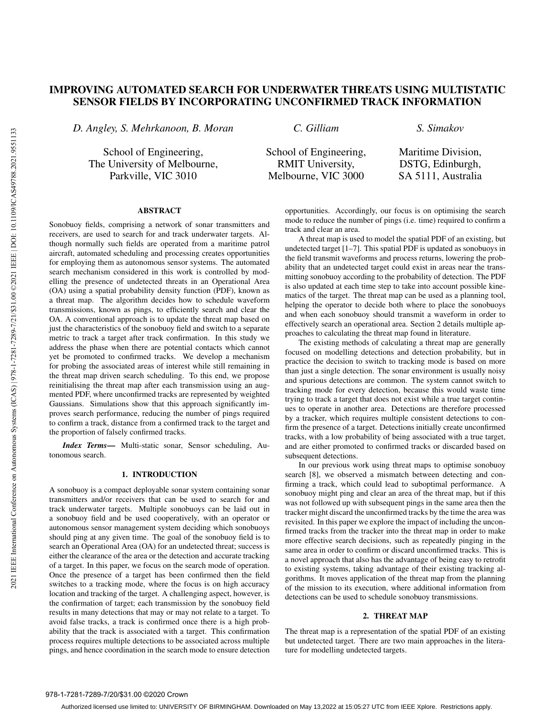### IMPROVING AUTOMATED SEARCH FOR UNDERWATER THREATS USING MULTISTATIC SENSOR FIELDS BY INCORPORATING UNCONFIRMED TRACK INFORMATION

*D. Angley, S. Mehrkanoon, B. Moran*

School of Engineering, The University of Melbourne, Parkville, VIC 3010

*C. Gilliam*

*S. Simakov*

School of Engineering, RMIT University, Melbourne, VIC 3000

Maritime Division, DSTG, Edinburgh, SA 5111, Australia

#### ABSTRACT

Sonobuoy fields, comprising a network of sonar transmitters and receivers, are used to search for and track underwater targets. Although normally such fields are operated from a maritime patrol aircraft, automated scheduling and processing creates opportunities for employing them as autonomous sensor systems. The automated search mechanism considered in this work is controlled by modelling the presence of undetected threats in an Operational Area (OA) using a spatial probability density function (PDF), known as a threat map. The algorithm decides how to schedule waveform transmissions, known as pings, to efficiently search and clear the OA. A conventional approach is to update the threat map based on just the characteristics of the sonobuoy field and switch to a separate metric to track a target after track confirmation. In this study we address the phase when there are potential contacts which cannot yet be promoted to confirmed tracks. We develop a mechanism for probing the associated areas of interest while still remaining in the threat map driven search scheduling. To this end, we propose reinitialising the threat map after each transmission using an augmented PDF, where unconfirmed tracks are represented by weighted Gaussians. Simulations show that this approach significantly improves search performance, reducing the number of pings required to confirm a track, distance from a confirmed track to the target and the proportion of falsely confirmed tracks.

*Index Terms*— Multi-static sonar, Sensor scheduling, Autonomous search.

#### 1. INTRODUCTION

A sonobuoy is a compact deployable sonar system containing sonar transmitters and/or receivers that can be used to search for and track underwater targets. Multiple sonobuoys can be laid out in a sonobuoy field and be used cooperatively, with an operator or autonomous sensor management system deciding which sonobuoys should ping at any given time. The goal of the sonobuoy field is to search an Operational Area (OA) for an undetected threat; success is either the clearance of the area or the detection and accurate tracking of a target. In this paper, we focus on the search mode of operation. Once the presence of a target has been confirmed then the field switches to a tracking mode, where the focus is on high accuracy location and tracking of the target. A challenging aspect, however, is the confirmation of target; each transmission by the sonobuoy field results in many detections that may or may not relate to a target. To avoid false tracks, a track is confirmed once there is a high probability that the track is associated with a target. This confirmation process requires multiple detections to be associated across multiple pings, and hence coordination in the search mode to ensure detection opportunities. Accordingly, our focus is on optimising the search mode to reduce the number of pings (i.e. time) required to confirm a track and clear an area.

A threat map is used to model the spatial PDF of an existing, but undetected target [1–7]. This spatial PDF is updated as sonobuoys in the field transmit waveforms and process returns, lowering the probability that an undetected target could exist in areas near the transmitting sonobuoy according to the probability of detection. The PDF is also updated at each time step to take into account possible kinematics of the target. The threat map can be used as a planning tool, helping the operator to decide both where to place the sonobuoys and when each sonobuoy should transmit a waveform in order to effectively search an operational area. Section 2 details multiple approaches to calculating the threat map found in literature.

The existing methods of calculating a threat map are generally focused on modelling detections and detection probability, but in practice the decision to switch to tracking mode is based on more than just a single detection. The sonar environment is usually noisy and spurious detections are common. The system cannot switch to tracking mode for every detection, because this would waste time trying to track a target that does not exist while a true target continues to operate in another area. Detections are therefore processed by a tracker, which requires multiple consistent detections to confirm the presence of a target. Detections initially create unconfirmed tracks, with a low probability of being associated with a true target, and are either promoted to confirmed tracks or discarded based on subsequent detections.

In our previous work using threat maps to optimise sonobuoy search [8], we observed a mismatch between detecting and confirming a track, which could lead to suboptimal performance. A sonobuoy might ping and clear an area of the threat map, but if this was not followed up with subsequent pings in the same area then the tracker might discard the unconfirmed tracks by the time the area was revisited. In this paper we explore the impact of including the unconfirmed tracks from the tracker into the threat map in order to make more effective search decisions, such as repeatedly pinging in the same area in order to confirm or discard unconfirmed tracks. This is a novel approach that also has the advantage of being easy to retrofit to existing systems, taking advantage of their existing tracking algorithms. It moves application of the threat map from the planning of the mission to its execution, where additional information from detections can be used to schedule sonobuoy transmissions.

#### 2. THREAT MAP

The threat map is a representation of the spatial PDF of an existing but undetected target. There are two main approaches in the literature for modelling undetected targets.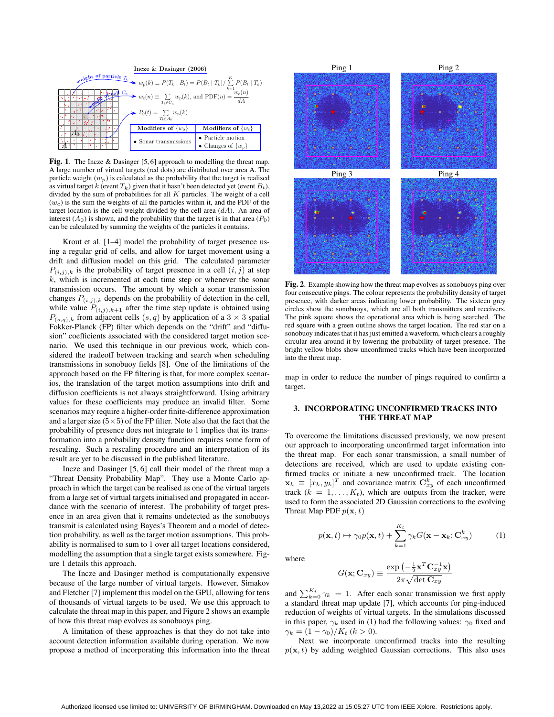

Fig. 1. The Incze & Dasinger [5, 6] approach to modelling the threat map. A large number of virtual targets (red dots) are distributed over area A. The particle weight  $(w_p)$  is calculated as the probability that the target is realised as virtual target k (event  $T_k$ ) given that it hasn't been detected yet (event  $B_t$ ), divided by the sum of probabilities for all  $K$  particles. The weight of a cell  $(w<sub>c</sub>)$  is the sum the weights of all the particles within it, and the PDF of the target location is the cell weight divided by the cell area  $(dA)$ . An area of interest  $(A_0)$  is shown, and the probability that the target is in that area  $(P_0)$ can be calculated by summing the weights of the particles it contains.

Krout et al. [1–4] model the probability of target presence using a regular grid of cells, and allow for target movement using a drift and diffusion model on this grid. The calculated parameter  $P(i,j), k$  is the probability of target presence in a cell  $(i, j)$  at step  $k$ , which is incremented at each time step or whenever the sonar transmission occurs. The amount by which a sonar transmission changes  $P_{(i,j),k}$  depends on the probability of detection in the cell, while value  $P_{(i,j),k+1}$  after the time step update is obtained using  $P_{(s,q),k}$  from adjacent cells  $(s,q)$  by application of a 3  $\times$  3 spatial Fokker-Planck (FP) filter which depends on the "drift" and "diffusion" coefficients associated with the considered target motion scenario. We used this technique in our previous work, which considered the tradeoff between tracking and search when scheduling transmissions in sonobuoy fields [8]. One of the limitations of the approach based on the FP filtering is that, for more complex scenarios, the translation of the target motion assumptions into drift and diffusion coefficients is not always straightforward. Using arbitrary values for these coefficients may produce an invalid filter. Some scenarios may require a higher-order finite-difference approximation and a larger size  $(5\times5)$  of the FP filter. Note also that the fact that the probability of presence does not integrate to 1 implies that its transformation into a probability density function requires some form of rescaling. Such a rescaling procedure and an interpretation of its result are yet to be discussed in the published literature.

Incze and Dasinger [5, 6] call their model of the threat map a "Threat Density Probability Map". They use a Monte Carlo approach in which the target can be realised as one of the virtual targets from a large set of virtual targets initialised and propagated in accordance with the scenario of interest. The probability of target presence in an area given that it remains undetected as the sonobuoys transmit is calculated using Bayes's Theorem and a model of detection probability, as well as the target motion assumptions. This probability is normalised to sum to 1 over all target locations considered, modelling the assumption that a single target exists somewhere. Figure 1 details this approach.

The Incze and Dasinger method is computationally expensive because of the large number of virtual targets. However, Simakov and Fletcher [7] implement this model on the GPU, allowing for tens of thousands of virtual targets to be used. We use this approach to calculate the threat map in this paper, and Figure 2 shows an example of how this threat map evolves as sonobuoys ping.

A limitation of these approaches is that they do not take into account detection information available during operation. We now propose a method of incorporating this information into the threat



Fig. 2. Example showing how the threat map evolves as sonobuoys ping over four consecutive pings. The colour represents the probability density of target presence, with darker areas indicating lower probability. The sixteen grey circles show the sonobuoys, which are all both transmitters and receivers. The pink square shows the operational area which is being searched. The red square with a green outline shows the target location. The red star on a sonobuoy indicates that it has just emitted a waveform, which clears a roughly circular area around it by lowering the probability of target presence. The bright yellow blobs show unconfirmed tracks which have been incorporated into the threat map.

map in order to reduce the number of pings required to confirm a target.

#### 3. INCORPORATING UNCONFIRMED TRACKS INTO THE THREAT MAP

To overcome the limitations discussed previously, we now present our approach to incorporating unconfirmed target information into the threat map. For each sonar transmission, a small number of detections are received, which are used to update existing confirmed tracks or initiate a new unconfirmed track. The location  $\mathbf{x}_k \equiv [x_k, y_k]^T$  and covariance matrix  $\mathbf{C}_{xy}^k$  of each unconfirmed track  $(k = 1, \ldots, K_t)$ , which are outputs from the tracker, were used to form the associated 2D Gaussian corrections to the evolving Threat Map PDF  $p(\mathbf{x}, t)$ 

$$
p(\mathbf{x},t) \mapsto \gamma_0 p(\mathbf{x},t) + \sum_{k=1}^{K_t} \gamma_k G(\mathbf{x} - \mathbf{x}_k; \mathbf{C}_{xy}^k)
$$
(1)

where

$$
G(\mathbf{x}; \mathbf{C}_{xy}) \equiv \frac{\exp \left(-\frac{1}{2} \mathbf{x}^T \mathbf{C}_{xy}^{-1} \mathbf{x}\right)}{2 \pi \sqrt{\det \mathbf{C}_{xy}}}
$$

and  $\sum_{k=0}^{K_t} \gamma_k = 1$ . After each sonar transmission we first apply a standard threat map update [7], which accounts for ping-induced reduction of weights of virtual targets. In the simulations discussed in this paper,  $\gamma_k$  used in (1) had the following values:  $\gamma_0$  fixed and  $\gamma_k = (1 - \gamma_0)/K_t \ (k > 0).$ 

Next we incorporate unconfirmed tracks into the resulting  $p(\mathbf{x}, t)$  by adding weighted Gaussian corrections. This also uses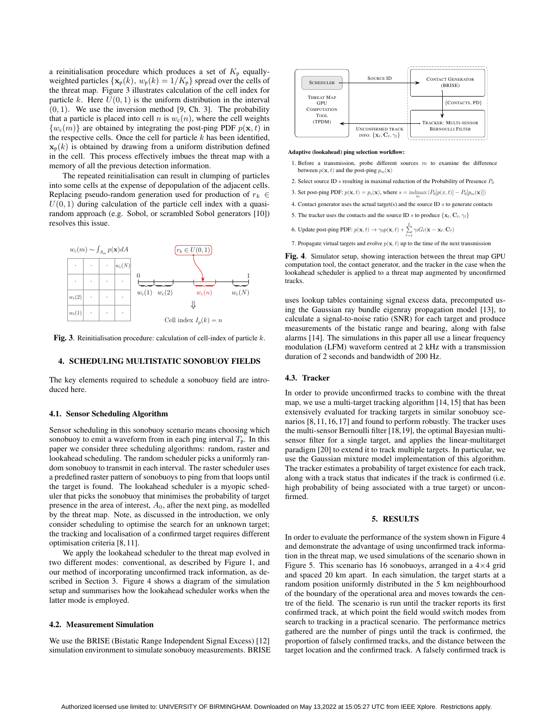a reinitialisation procedure which produces a set of  $K_p$  equallyweighted particles  $\{x_p(k), w_p(k)=1/K_p\}$  spread over the cells of the threat map. Figure 3 illustrates calculation of the cell index for particle k. Here  $U(0, 1)$  is the uniform distribution in the interval  $(0, 1)$ . We use the inversion method [9, Ch. 3]. The probability that a particle is placed into cell n is  $w_c(n)$ , where the cell weights  $\{w_c(m)\}\$ are obtained by integrating the post-ping PDF  $p(\mathbf{x}, t)$  in the respective cells. Once the cell for particle  $k$  has been identified,  $\mathbf{x}_p(k)$  is obtained by drawing from a uniform distribution defined in the cell. This process effectively imbues the threat map with a memory of all the previous detection information.

The repeated reinitialisation can result in clumping of particles into some cells at the expense of depopulation of the adjacent cells. Replacing pseudo-random generation used for production of  $r_k \in$  $U(0, 1)$  during calculation of the particle cell index with a quasirandom approach (e.g. Sobol, or scrambled Sobol generators [10]) resolves this issue.



Fig. 3. Reinitialisation procedure: calculation of cell-index of particle  $k$ .

#### 4. SCHEDULING MULTISTATIC SONOBUOY FIELDS

The key elements required to schedule a sonobuoy field are introduced here.

#### 4.1. Sensor Scheduling Algorithm

Sensor scheduling in this sonobuoy scenario means choosing which sonobuoy to emit a waveform from in each ping interval  $T_p$ . In this paper we consider three scheduling algorithms: random, raster and lookahead scheduling. The random scheduler picks a uniformly random sonobuoy to transmit in each interval. The raster scheduler uses a predefined raster pattern of sonobuoys to ping from that loops until the target is found. The lookahead scheduler is a myopic scheduler that picks the sonobuoy that minimises the probability of target presence in the area of interest,  $A_0$ , after the next ping, as modelled by the threat map. Note, as discussed in the introduction, we only consider scheduling to optimise the search for an unknown target; the tracking and localisation of a confirmed target requires different optimisation criteria [8, 11].

We apply the lookahead scheduler to the threat map evolved in two different modes: conventional, as described by Figure 1, and our method of incorporating unconfirmed track information, as described in Section 3. Figure 4 shows a diagram of the simulation setup and summarises how the lookahead scheduler works when the latter mode is employed.

#### 4.2. Measurement Simulation

We use the BRISE (Bistatic Range Independent Signal Excess) [12] simulation environment to simulate sonobuoy measurements. BRISE



#### **Adaptive (lookahead) ping selection workflow:**

- 1. Before a transmission, probe different sources  $m$  to examine the difference between  $p(\mathbf{x}, t)$  and the post-ping  $p_m(\mathbf{x})$
- 2. Select source ID s resulting in maximal reduction of the Probability of Presence  $P_0$
- 3. Set post-ping PDF:  $p(\mathbf{x}, t) = p_s(\mathbf{x})$ , where  $s = \text{indmax}_{m} (P_0[p(x, t)] P_0[p_m(\mathbf{x})])$
- 4. Contact generator uses the actual target(s) and the source ID  $s$  to generate contacts
- 5. The tracker uses the contacts and the source ID s to produce  $\{x_{\ell}, C_{\ell}, \gamma_{\ell}\}$
- 6. Update post-ping PDF:  $p(\mathbf{x}, t) \rightarrow \gamma_0 p(\mathbf{x}, t) + \sum_{k=1}^{L}$  $\sum_{\ell=1}^n \gamma_\ell G_\ell(\mathbf{x}-\mathbf{x}_\ell;\mathbf{C}_\ell)$
- 7. Propagate virtual targets and evolve  $p(\mathbf{x}, t)$  up to the time of the next transmission

Fig. 4. Simulator setup, showing interaction between the threat map GPU computation tool, the contact generator, and the tracker in the case when the lookahead scheduler is applied to a threat map augmented by unconfirmed tracks.

uses lookup tables containing signal excess data, precomputed using the Gaussian ray bundle eigenray propagation model [13], to calculate a signal-to-noise ratio (SNR) for each target and produce measurements of the bistatic range and bearing, along with false alarms [14]. The simulations in this paper all use a linear frequency modulation (LFM) waveform centred at 2 kHz with a transmission duration of 2 seconds and bandwidth of 200 Hz.

#### 4.3. Tracker

In order to provide unconfirmed tracks to combine with the threat map, we use a multi-target tracking algorithm [14, 15] that has been extensively evaluated for tracking targets in similar sonobuoy scenarios [8, 11, 16, 17] and found to perform robustly. The tracker uses the multi-sensor Bernoulli filter [18,19], the optimal Bayesian multisensor filter for a single target, and applies the linear-multitarget paradigm [20] to extend it to track multiple targets. In particular, we use the Gaussian mixture model implementation of this algorithm. The tracker estimates a probability of target existence for each track, along with a track status that indicates if the track is confirmed (i.e. high probability of being associated with a true target) or unconfirmed.

#### 5. RESULTS

In order to evaluate the performance of the system shown in Figure 4 and demonstrate the advantage of using unconfirmed track information in the threat map, we used simulations of the scenario shown in Figure 5. This scenario has 16 sonobuoys, arranged in a  $4\times4$  grid and spaced 20 km apart. In each simulation, the target starts at a random position uniformly distributed in the 5 km neighbourhood of the boundary of the operational area and moves towards the centre of the field. The scenario is run until the tracker reports its first confirmed track, at which point the field would switch modes from search to tracking in a practical scenario. The performance metrics gathered are the number of pings until the track is confirmed, the proportion of falsely confirmed tracks, and the distance between the target location and the confirmed track. A falsely confirmed track is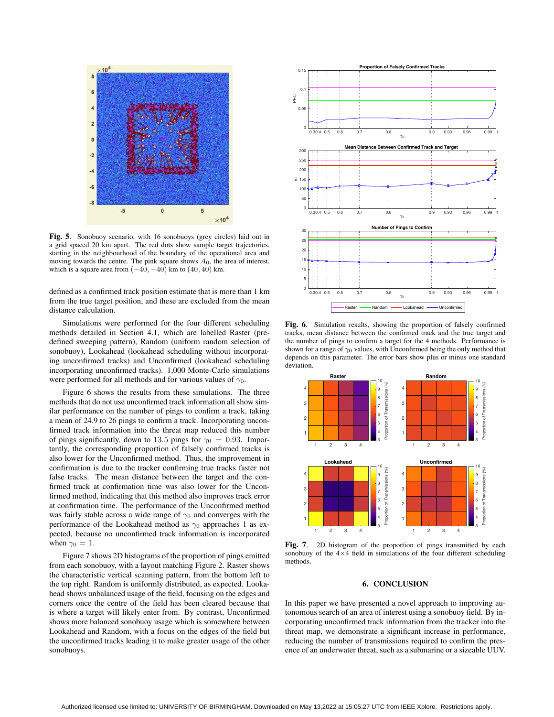

Fig. 5. Sonobuoy scenario, with 16 sonobuoys (grey circles) laid out in a grid spaced 20 km apart. The red dots show sample target trajectories, starting in the neighbourhood of the boundary of the operational area and moving towards the centre. The pink square shows  $A_0$ , the area of interest, which is a square area from  $(-40, -40)$  km to  $(40, 40)$  km.

defined as a confirmed track position estimate that is more than 1 km from the true target position, and these are excluded from the mean distance calculation.

Simulations were performed for the four different scheduling methods detailed in Section 4.1, which are labelled Raster (predefined sweeping pattern), Random (uniform random selection of sonobuoy), Lookahead (lookahead scheduling without incorporating unconfirmed tracks) and Unconfirmed (lookahead scheduling incorporating unconfirmed tracks). 1,000 Monte-Carlo simulations were performed for all methods and for various values of  $\gamma_0$ .

Figure 6 shows the results from these simulations. The three methods that do not use unconfirmed track information all show similar performance on the number of pings to confirm a track, taking a mean of 24.9 to 26 pings to confirm a track. Incorporating unconfirmed track information into the threat map reduced this number of pings significantly, down to 13.5 pings for  $\gamma_0 = 0.93$ . Importantly, the corresponding proportion of falsely confirmed tracks is also lower for the Unconfirmed method. Thus, the improvement in confirmation is due to the tracker confirming true tracks faster not false tracks. The mean distance between the target and the confirmed track at confirmation time was also lower for the Unconfirmed method, indicating that this method also improves track error at confirmation time. The performance of the Unconfirmed method was fairly stable across a wide range of  $\gamma_0$  and converges with the performance of the Lookahead method as  $\gamma_0$  approaches 1 as expected, because no unconfirmed track information is incorporated when  $\gamma_0 = 1$ .

Figure 7 shows 2D histograms of the proportion of pings emitted from each sonobuoy, with a layout matching Figure 2. Raster shows the characteristic vertical scanning pattern, from the bottom left to the top right. Random is uniformly distributed, as expected. Lookahead shows unbalanced usage of the field, focusing on the edges and corners once the centre of the field has been cleared because that is where a target will likely enter from. By contrast, Unconfirmed shows more balanced sonobuoy usage which is somewhere between Lookahead and Random, with a focus on the edges of the field but the unconfirmed tracks leading it to make greater usage of the other sonobuoys.



Fig. 6. Simulation results, showing the proportion of falsely confirmed tracks, mean distance between the confirmed track and the true target and the number of pings to confirm a target for the 4 methods. Performance is shown for a range of  $\gamma_0$  values, with Unconfirmed being the only method that depends on this parameter. The error bars show plus or minus one standard deviation.



Fig. 7. 2D histogram of the proportion of pings transmitted by each sonobuoy of the  $4\times4$  field in simulations of the four different scheduling methods.

#### 6. CONCLUSION

In this paper we have presented a novel approach to improving autonomous search of an area of interest using a sonobuoy field. By incorporating unconfirmed track information from the tracker into the threat map, we demonstrate a significant increase in performance, reducing the number of transmissions required to confirm the presence of an underwater threat, such as a submarine or a sizeable UUV.